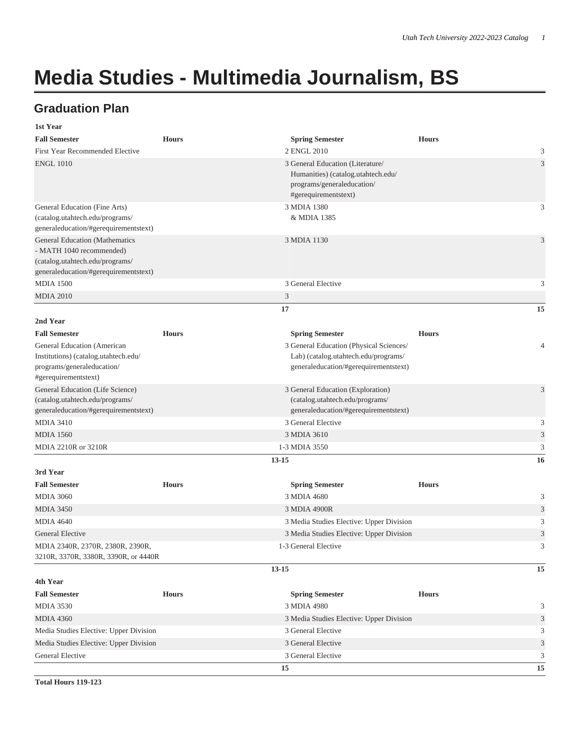## **Media Studies - Multimedia Journalism, BS**

## **Graduation Plan**

| 1st Year                                                                                                                                      |              |                                                                                                                              |              |                |
|-----------------------------------------------------------------------------------------------------------------------------------------------|--------------|------------------------------------------------------------------------------------------------------------------------------|--------------|----------------|
| <b>Fall Semester</b>                                                                                                                          | <b>Hours</b> | <b>Spring Semester</b>                                                                                                       | <b>Hours</b> |                |
| First Year Recommended Elective                                                                                                               |              | 2 ENGL 2010                                                                                                                  |              | 3              |
| <b>ENGL 1010</b>                                                                                                                              |              | 3 General Education (Literature/<br>Humanities) (catalog.utahtech.edu/<br>programs/generaleducation/<br>#gerequirementstext) |              | $\mathfrak{Z}$ |
| General Education (Fine Arts)<br>(catalog.utahtech.edu/programs/<br>generaleducation/#gerequirementstext)                                     |              | 3 MDIA 1380<br>& MDIA 1385                                                                                                   |              | 3              |
| <b>General Education (Mathematics</b><br>- MATH 1040 recommended)<br>(catalog.utahtech.edu/programs/<br>generaleducation/#gerequirementstext) |              | 3 MDIA 1130                                                                                                                  |              | 3              |
| <b>MDIA 1500</b>                                                                                                                              |              | 3 General Elective                                                                                                           |              | 3              |
| <b>MDIA 2010</b>                                                                                                                              |              | 3                                                                                                                            |              |                |
|                                                                                                                                               |              | 17                                                                                                                           |              | 15             |
| 2nd Year                                                                                                                                      |              |                                                                                                                              |              |                |
| <b>Fall Semester</b>                                                                                                                          | <b>Hours</b> | <b>Spring Semester</b>                                                                                                       | <b>Hours</b> |                |
| General Education (American                                                                                                                   |              | 3 General Education (Physical Sciences/                                                                                      |              | $\overline{4}$ |
| Institutions) (catalog.utahtech.edu/<br>programs/generaleducation/<br>#gerequirementstext)                                                    |              | Lab) (catalog.utahtech.edu/programs/<br>generaleducation/#gerequirementstext)                                                |              |                |
| General Education (Life Science)<br>(catalog.utahtech.edu/programs/<br>generaleducation/#gerequirementstext)                                  |              | 3 General Education (Exploration)<br>(catalog.utahtech.edu/programs/<br>generaleducation/#gerequirementstext)                |              | 3              |
| <b>MDIA 3410</b>                                                                                                                              |              | 3 General Elective                                                                                                           |              | 3              |
| <b>MDIA 1560</b>                                                                                                                              |              | 3 MDIA 3610                                                                                                                  |              | $\mathfrak{Z}$ |
| MDIA 2210R or 3210R                                                                                                                           |              | 1-3 MDIA 3550                                                                                                                |              | 3              |
|                                                                                                                                               |              | $13 - 15$                                                                                                                    |              | 16             |
| 3rd Year                                                                                                                                      |              |                                                                                                                              |              |                |
| <b>Fall Semester</b>                                                                                                                          | <b>Hours</b> | <b>Spring Semester</b>                                                                                                       | <b>Hours</b> |                |
| <b>MDIA 3060</b>                                                                                                                              |              | 3 MDIA 4680                                                                                                                  |              | 3              |
| <b>MDIA 3450</b>                                                                                                                              |              | 3 MDIA 4900R                                                                                                                 |              | $\mathfrak{Z}$ |
| <b>MDIA 4640</b>                                                                                                                              |              | 3 Media Studies Elective: Upper Division                                                                                     |              | $\mathfrak{Z}$ |
| <b>General Elective</b>                                                                                                                       |              | 3 Media Studies Elective: Upper Division                                                                                     |              | 3              |
| MDIA 2340R, 2370R, 2380R, 2390R,<br>3210R, 3370R, 3380R, 3390R, or 4440R                                                                      |              | 1-3 General Elective                                                                                                         |              | 3              |
| 4th Year                                                                                                                                      |              | $13 - 15$                                                                                                                    |              | 15             |
| <b>Fall Semester</b>                                                                                                                          | <b>Hours</b> | <b>Spring Semester</b>                                                                                                       | <b>Hours</b> |                |
| <b>MDIA 3530</b>                                                                                                                              |              | 3 MDIA 4980                                                                                                                  |              | 3              |
| <b>MDIA 4360</b>                                                                                                                              |              | 3 Media Studies Elective: Upper Division                                                                                     |              | $\mathfrak{Z}$ |
| Media Studies Elective: Upper Division                                                                                                        |              | 3 General Elective                                                                                                           |              | 3              |
| Media Studies Elective: Upper Division                                                                                                        |              | 3 General Elective                                                                                                           |              | $\mathfrak{Z}$ |
| General Elective                                                                                                                              |              | 3 General Elective                                                                                                           |              | 3              |
|                                                                                                                                               |              | 15                                                                                                                           |              | 15             |

**Total Hours 119-123**